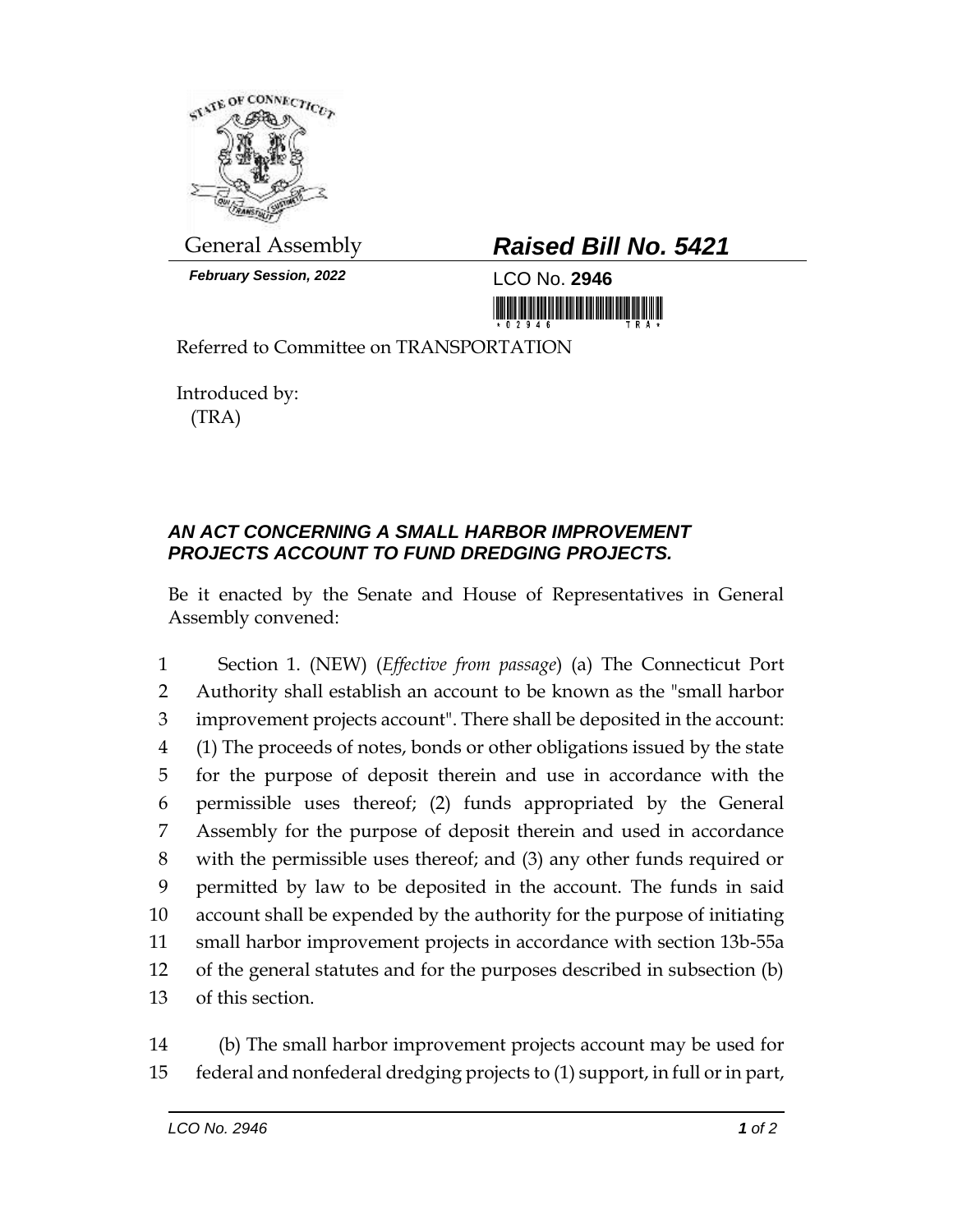

*February Session, 2022* LCO No. **2946**

## General Assembly *Raised Bill No. 5421*

<u> III yn yn prin yn y mawr a mae ni lli</u>

Referred to Committee on TRANSPORTATION

Introduced by: (TRA)

## *AN ACT CONCERNING A SMALL HARBOR IMPROVEMENT PROJECTS ACCOUNT TO FUND DREDGING PROJECTS.*

Be it enacted by the Senate and House of Representatives in General Assembly convened:

 Section 1. (NEW) (*Effective from passage*) (a) The Connecticut Port Authority shall establish an account to be known as the "small harbor improvement projects account". There shall be deposited in the account: (1) The proceeds of notes, bonds or other obligations issued by the state for the purpose of deposit therein and use in accordance with the permissible uses thereof; (2) funds appropriated by the General Assembly for the purpose of deposit therein and used in accordance with the permissible uses thereof; and (3) any other funds required or permitted by law to be deposited in the account. The funds in said account shall be expended by the authority for the purpose of initiating small harbor improvement projects in accordance with section 13b-55a of the general statutes and for the purposes described in subsection (b) of this section.

14 (b) The small harbor improvement projects account may be used for 15 federal and nonfederal dredging projects to (1) support, in full or in part,